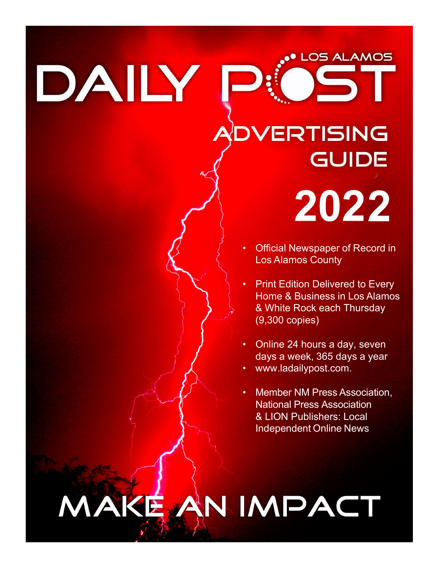DAILY

# **OVERTISING GUIDE** 2022

• Official Newspaper of Record in Los Alamos County

**LOS ALAMOS** 

- **Print Edition Delivered to Every** Home & Business in Los Alamos & White Rock each Thursday (9,300 copies)
- Online 24 hours a day, seven days a week, 365 days a year
- [www.ladailypost.com.](http://www.ladailypost.com/)
- Member NM Press Association, National Press Association & LION Publishers: Local Independent Online News

# MAKE AN IMPACT